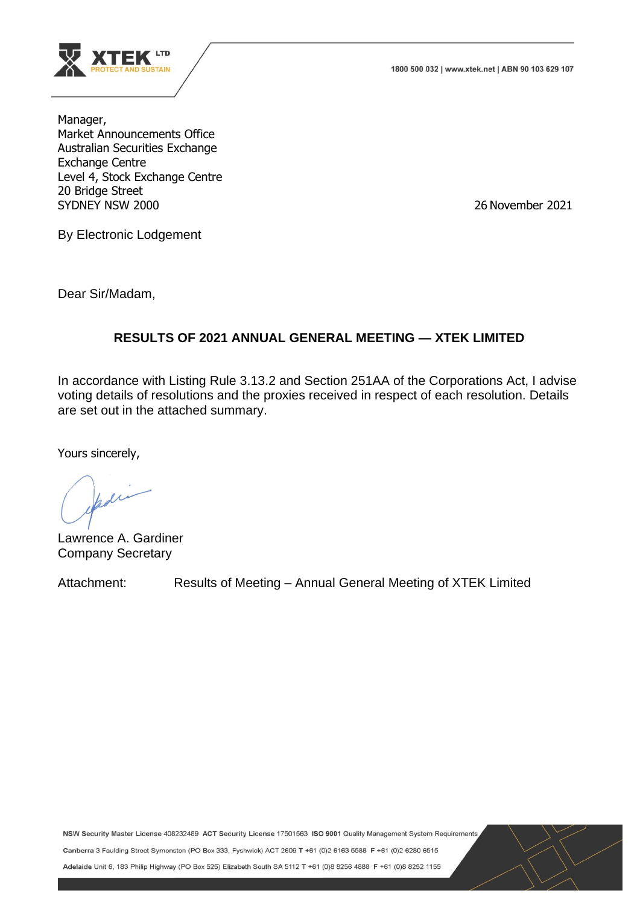

1800 500 032 | www.xtek.net | ABN 90 103 629 107

Manager, Market Announcements Office Australian Securities Exchange Exchange Centre Level 4, Stock Exchange Centre 20 Bridge Street SYDNEY NSW 2000 26 November 2021

By Electronic Lodgement

Dear Sir/Madam,

## **RESULTS OF 2021 ANNUAL GENERAL MEETING — XTEK LIMITED**

In accordance with Listing Rule 3.13.2 and Section 251AA of the Corporations Act, I advise voting details of resolutions and the proxies received in respect of each resolution. Details are set out in the attached summary.

Yours sincerely,

din

Lawrence A. Gardiner Company Secretary

Attachment: Results of Meeting – Annual General Meeting of XTEK Limited

NSW Security Master License 408232489 ACT Security License 17501563 ISO 9001 Quality Management System Requirements

Canberra 3 Faulding Street Symonston (PO Box 333, Fyshwick) ACT 2609 T +61 (0)2 6163 5588 F +61 (0)2 6280 6515

Adelaide Unit 6, 183 Philip Highway (PO Box 525) Elizabeth South SA 5112 T +61 (0) 8 8256 4888 F +61 (0) 8 8252 1155